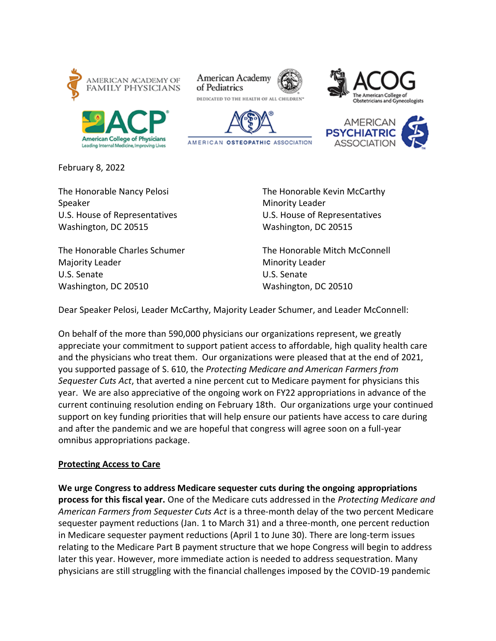

Leading Internal Medicine, Improving Lives









February 8, 2022

Speaker Minority Leader Washington, DC 20515 Washington, DC 20515

The Honorable Charles Schumer The Honorable Mitch McConnell Majority Leader Minority Leader U.S. Senate U.S. Senate Washington, DC 20510 Washington, DC 20510

The Honorable Nancy Pelosi **The Honorable Kevin McCarthy** U.S. House of Representatives U.S. House of Representatives

Dear Speaker Pelosi, Leader McCarthy, Majority Leader Schumer, and Leader McConnell:

On behalf of the more than 590,000 physicians our organizations represent, we greatly appreciate your commitment to support patient access to affordable, high quality health care and the physicians who treat them. Our organizations were pleased that at the end of 2021, you supported passage of S. 610, the *Protecting Medicare and American Farmers from Sequester Cuts Act*, that averted a nine percent cut to Medicare payment for physicians this year. We are also appreciative of the ongoing work on FY22 appropriations in advance of the current continuing resolution ending on February 18th. Our organizations urge your continued support on key funding priorities that will help ensure our patients have access to care during and after the pandemic and we are hopeful that congress will agree soon on a full-year omnibus appropriations package.

## **Protecting Access to Care**

**We urge Congress to address Medicare sequester cuts during the ongoing appropriations process for this fiscal year.** One of the Medicare cuts addressed in the *Protecting Medicare and American Farmers from Sequester Cuts Act* is a three-month delay of the two percent Medicare sequester payment reductions (Jan. 1 to March 31) and a three-month, one percent reduction in Medicare sequester payment reductions (April 1 to June 30). There are long-term issues relating to the Medicare Part B payment structure that we hope Congress will begin to address later this year. However, more immediate action is needed to address sequestration. Many physicians are still struggling with the financial challenges imposed by the COVID-19 pandemic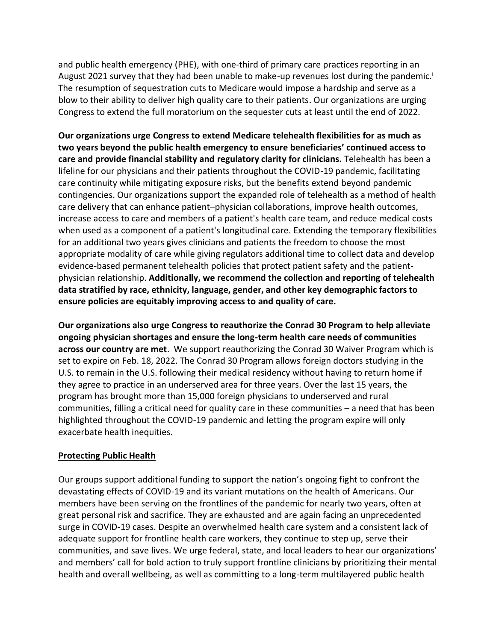and public health emergency (PHE), with one-third of primary care practices reporting in an August 2021 survey that they had been unable to make-up revenues lost during the pandemic.<sup>1</sup> The resumption of sequestration cuts to Medicare would impose a hardship and serve as a blow to their ability to deliver high quality care to their patients. Our organizations are urging Congress to extend the full moratorium on the sequester cuts at least until the end of 2022.

**Our organizations urge Congress to extend Medicare telehealth flexibilities for as much as two years beyond the public health emergency to ensure beneficiaries' continued access to care and provide financial stability and regulatory clarity for clinicians.** Telehealth has been a lifeline for our physicians and their patients throughout the COVID-19 pandemic, facilitating care continuity while mitigating exposure risks, but the benefits extend beyond pandemic contingencies. Our organizations support the expanded role of telehealth as a method of health care delivery that can enhance patient–physician collaborations, improve health outcomes, increase access to care and members of a patient's health care team, and reduce medical costs when used as a component of a patient's longitudinal care. Extending the temporary flexibilities for an additional two years gives clinicians and patients the freedom to choose the most appropriate modality of care while giving regulators additional time to collect data and develop evidence-based permanent telehealth policies that protect patient safety and the patientphysician relationship. **Additionally, we recommend the collection and reporting of telehealth data stratified by race, ethnicity, language, gender, and other key demographic factors to ensure policies are equitably improving access to and quality of care.**

**Our organizations also urge Congress to reauthorize the Conrad 30 Program to help alleviate ongoing physician shortages and ensure the long-term health care needs of communities across our country are met**. We support reauthorizing the Conrad 30 Waiver Program which is set to expire on Feb. 18, 2022. The Conrad 30 Program allows foreign doctors studying in the U.S. to remain in the U.S. following their medical residency without having to return home if they agree to practice in an underserved area for three years. Over the last 15 years, the program has brought more than 15,000 foreign physicians to underserved and rural communities, filling a critical need for quality care in these communities – a need that has been highlighted throughout the COVID-19 pandemic and letting the program expire will only exacerbate health inequities.

## **Protecting Public Health**

Our groups support additional funding to support the nation's ongoing fight to confront the devastating effects of COVID-19 and its variant mutations on the health of Americans. Our members have been serving on the frontlines of the pandemic for nearly two years, often at great personal risk and sacrifice. They are exhausted and are again facing an unprecedented surge in COVID-19 cases. Despite an overwhelmed health care system and a consistent lack of adequate support for frontline health care workers, they continue to step up, serve their communities, and save lives. We urge federal, state, and local leaders to hear our organizations' and members' call for bold action to truly support frontline clinicians by prioritizing their mental health and overall wellbeing, as well as committing to a long-term multilayered public health